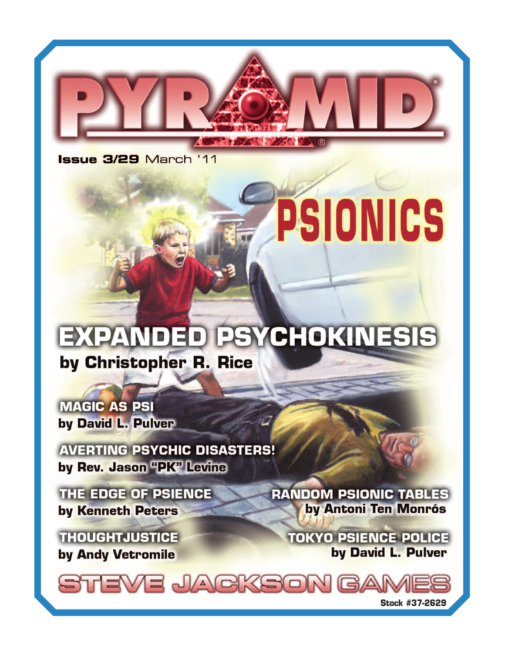**Issue 3/29 March '11** 

## **EXPANDED PSYCHOKINESIS** by Christopher R. Rice

**PACKAGE AND ARRANGEMENT OF STATE OF BUILDING** 

**MAGIC AS PSI** by David L. Pulver

**AVERTING PSYCHIC DISASTERS!** by Rev. Jason "PK" Levine

THE EDGE OF PSIENCE by Kenneth Peters

**THOUGHTJUSTICE** by Andy Vetromile

**RANDOM PSIONIC TABLES** by Antoni Ten Monrós

PSIONICS

**TOKYO PSIENCE POLICE** by David L. Pulver

EVE JAGKSO **Stock #37-2629**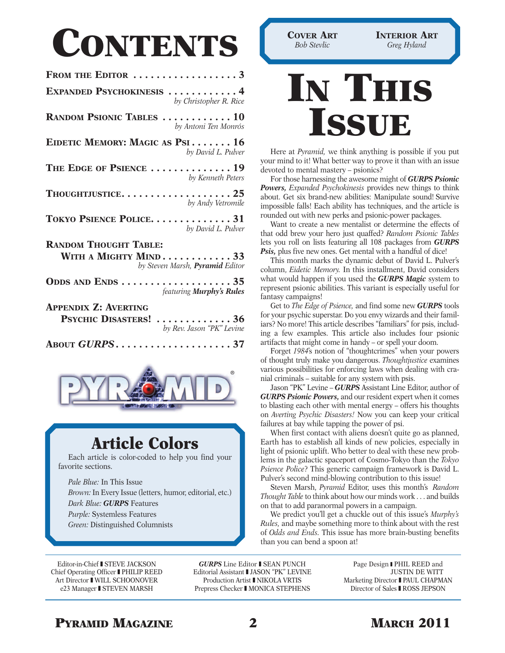## **CONTENTS** *Greg Hyland*

| FROM THE EDITOR  3                                                                                        |
|-----------------------------------------------------------------------------------------------------------|
| EXPANDED PSYCHOKINESIS  4<br>by Christopher R. Rice                                                       |
| RANDOM PSIONIC TABLES  10<br>by Antoni Ten Monrós                                                         |
| EIDETIC MEMORY: MAGIC AS PSI 16<br>by David L. Pulver                                                     |
| THE EDGE OF PSIENCE  19<br>by Kenneth Peters                                                              |
| THOUGHTJUSTICE25<br>by Andy Vetromile                                                                     |
| TOKYO PSIENCE POLICE. 31<br>by David L. Pulver                                                            |
| <b>RANDOM THOUGHT TABLE:</b><br>WITH A MIGHTY MIND $\dots\dots\dots33$<br>by Steven Marsh, Pyramid Editor |
| ODDS AND ENDS 35<br>featuring <b>Murphy's Rules</b>                                                       |
| <b>APPENDIX Z: AVERTING</b><br>PSYCHIC DISASTERS! 36<br>by Rev. Jason "PK" Levine                         |
| ABOUT GURPS37                                                                                             |
| $^\circledR$<br>Contract Committee Committee                                                              |



## **Article Colors**

Each article is color-coded to help you find your favorite sections.

*Pale Blue:* In This Issue *Brown:* In Every Issue (letters, humor, editorial, etc.) *Dark Blue: GURPS* Features

*Purple:* Systemless Features

*Green:* Distinguished Columnists



**INTERIOR ART**<br>Greg Hyland

**COVER ART** *Bob Stevlic*

Here at *Pyramid,* we think anything is possible if you put your mind to it! What better way to prove it than with an issue devoted to mental mastery – psionics?

For those harnessing the awesome might of *GURPS Psionic Powers, Expanded Psychokinesis* provides new things to think about. Get six brand-new abilities: Manipulate sound! Survive impossible falls! Each ability has techniques, and the article is rounded out with new perks and psionic-power packages.

Want to create a new mentalist or determine the effects of that odd brew your hero just quaffed? *Random Psionic Tables* lets you roll on lists featuring all 108 packages from *GURPS* **Psis,** plus five new ones. Get mental with a handful of dice!

This month marks the dynamic debut of David L. Pulver's column, *Eidetic Memory.* In this installment, David considers what would happen if you used the *GURPS Magic* system to represent psionic abilities. This variant is especially useful for fantasy campaigns!

Get to *The Edge of Psience,* and find some new *GURPS* tools for your psychic superstar. Do you envy wizards and their familiars? No more! This article describes "familiars" for psis, including a few examples. This article also includes four psionic artifacts that might come in handy – or spell your doom.

Forget *1984*'s notion of "thoughtcrimes" when your powers of thought truly make you dangerous. *Thoughtjustice* examines various possibilities for enforcing laws when dealing with cranial criminals – suitable for any system with psis.

Jason "PK" Levine – *GURPS* Assistant Line Editor, author of *GURPS Psionic Powers,* and our resident expert when it comes to blasting each other with mental energy – offers his thoughts on *Averting Psychic Disasters!* Now you can keep your critical failures at bay while tapping the power of psi.

When first contact with aliens doesn't quite go as planned, Earth has to establish all kinds of new policies, especially in light of psionic uplift. Who better to deal with these new problems in the galactic spaceport of Cosmo-Tokyo than the *Tokyo Psience Police*? This generic campaign framework is David L. Pulver's second mind-blowing contribution to this issue!

Steven Marsh, *Pyramid* Editor, uses this month's *Random Thought Table* to think about how our minds work . . . and builds on that to add paranormal powers in a campaign.

We predict you'll get a chuckle out of this issue's *Murphy's Rules,* and maybe something more to think about with the rest of *Odds and Ends.* This issue has more brain-busting benefits than you can bend a spoon at!

Editor-in-Chief **❚** STEVE JACKSON Chief Operating Officer **❚** PHILIP REED Art Director **❚** WILL SCHOONOVER e23 Manager **❚** STEVEN MARSH

*GURPS* Line Editor **❚** SEAN PUNCH Editorial Assistant **❚** JASON "PK" LEVINE Production Artist **❚** NIKOLA VRTIS Prepress Checker **❚** MONICA STEPHENS

Page Design **❚** PHIL REED and JUSTIN DE WITT Marketing Director **❚** PAUL CHAPMAN Director of Sales **❚** ROSS JEPSON

**PYRAMID MAGAZINE 2 MARCH 2011**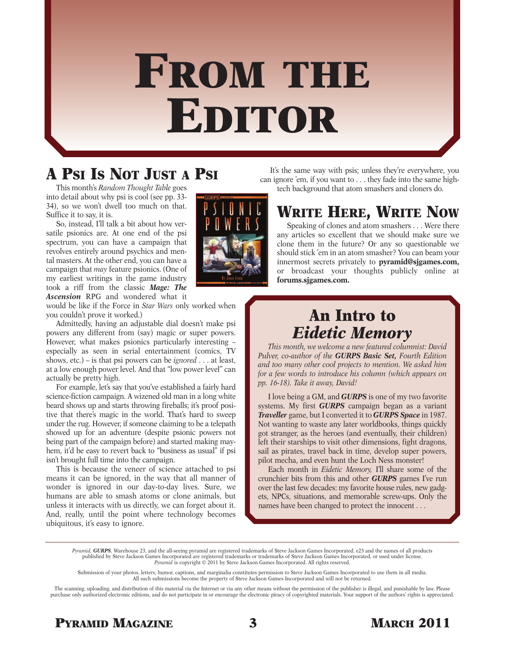# **FROM THE EDITOR**

## **A PSI IS NOT JUST A PSI**

This month's *Random Thought Table* goes into detail about why psi is cool (see pp. 33- 34), so we won't dwell too much on that. Suffice it to say, it is.

So, instead, I'll talk a bit about how versatile psionics are. At one end of the psi spectrum, you can have a campaign that revolves entirely around psychics and mental masters. At the other end, you can have a campaign that *may* feature psionics. (One of my earliest writings in the game industry took a riff from the classic *Mage: The Ascension* RPG and wondered what it

would be like if the Force in *Star Wars* only worked when you couldn't prove it worked.)

Admittedly, having an adjustable dial doesn't make psi powers any different from (say) magic or super powers. However, what makes psionics particularly interesting – especially as seen in serial entertainment (comics, TV shows, etc.) – is that psi powers can be *ignored* . . . at least, at a low enough power level. And that "low power level" can actually be pretty high.

For example, let's say that you've established a fairly hard science-fiction campaign. A wizened old man in a long white beard shows up and starts throwing fireballs; it's proof positive that there's magic in the world. That's hard to sweep under the rug. However, if someone claiming to be a telepath showed up for an adventure (despite psionic powers not being part of the campaign before) and started making mayhem, it'd be easy to revert back to "business as usual" if psi isn't brought full time into the campaign.

This is because the veneer of science attached to psi means it can be ignored, in the way that all manner of wonder is ignored in our day-to-day lives. Sure, we humans are able to smash atoms or clone animals, but unless it interacts with us directly, we can forget about it. And, really, until the point where technology becomes ubiquitous, it's easy to ignore.



It's the same way with psis; unless they're everywhere, you can ignore 'em, if you want to . . . they fade into the same hightech background that atom smashers and cloners do.

## **WRITE HERE, WRITE NOW**

Speaking of clones and atom smashers . . . Were there any articles so excellent that we should make sure we clone them in the future? Or any so questionable we should stick 'em in an atom smasher? You can beam your innermost secrets privately to **pyramid@sjgames.com,** or broadcast your thoughts publicly online at **forums.sjgames.com.**

### **An Intro to** *Eidetic Memory*

*This month, we welcome a new featured columnist: David Pulver, co-author of the GURPS Basic Set, Fourth Edition and too many other cool projects to mention. We asked him for a few words to introduce his column (which appears on pp. 16-18). Take it away, David!*

I love being a GM, and *GURPS* is one of my two favorite systems. My first *GURPS* campaign began as a variant *Traveller* game, but I converted it to *GURPS Space* in 1987. Not wanting to waste any later worldbooks, things quickly got stranger, as the heroes (and eventually, their children) left their starships to visit other dimensions, fight dragons, sail as pirates, travel back in time, develop super powers, pilot mecha, and even hunt the Loch Ness monster!

Each month in *Eidetic Memory,* I'll share some of the crunchier bits from this and other *GURPS* games I've run over the last few decades: my favorite house rules, new gadgets, NPCs, situations, and memorable screw-ups. Only the names have been changed to protect the innocent . . .

*Pyramid, GURPS*, Warehouse 23, and the all-seeing pyramid are registered trademarks of Steve Jackson Games Incorporated. e23 and the names of all products published by Steve Jackson Games Incorporated are registered trademarks or trademarks of Steve Jackson Games Incorporated, or used under license. *Pyramid* is copyright © 2011 by Steve Jackson Games Incorporated. All rights reserved.

Submission of your photos, letters, humor, captions, and marginalia constitutes permission to Steve Jackson Games Incorporated to use them in all media. All such submissions become the property of Steve Jackson Games Incorporated and will not be returned.

The scanning, uploading, and distribution of this material via the Internet or via any other means without the permission of the publisher is illegal, and punishable by law. Please purchase only authorized electronic editions, and do not participate in or encourage the electronic piracy of copyrighted materials. Your support of the authors' rights is appreciated.